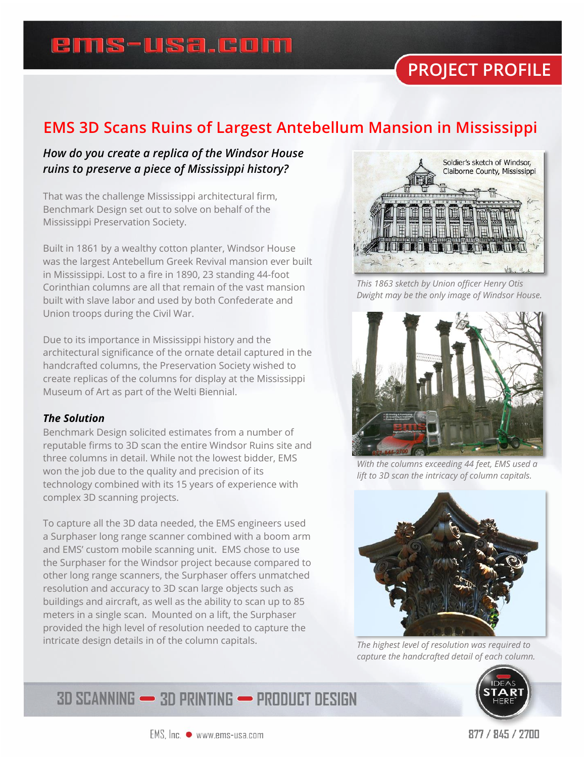### ems-usa.com

# **PROJECT PROFILE**

#### **EMS 3D Scans Ruins of Largest Antebellum Mansion in Mississippi**

#### *How do you create a replica of the Windsor House ruins to preserve a piece of Mississippi history?*

That was the challenge Mississippi architectural firm, Benchmark Design set out to solve on behalf of the Mississippi Preservation Society.

Built in 1861 by a wealthy cotton planter, Windsor House was the largest Antebellum Greek Revival mansion ever built in Mississippi. Lost to a fire in 1890, 23 standing 44-foot Corinthian columns are all that remain of the vast mansion built with slave labor and used by both Confederate and Union troops during the Civil War.

Due to its importance in Mississippi history and the architectural significance of the ornate detail captured in the handcrafted columns, the Preservation Society wished to create replicas of the columns for display at the Mississippi Museum of Art as part of the Welti Biennial.

#### *The Solution*

Benchmark Design solicited estimates from a number of reputable firms to 3D scan the entire Windsor Ruins site and three columns in detail. While not the lowest bidder, EMS won the job due to the quality and precision of its technology combined with its 15 years of experience with complex 3D scanning projects.

To capture all the 3D data needed, the EMS engineers used a Surphaser long range scanner combined with a boom arm and EMS' custom mobile scanning unit. EMS chose to use the Surphaser for the Windsor project because compared to other long range scanners, the Surphaser offers unmatched resolution and accuracy to 3D scan large objects such as buildings and aircraft, as well as the ability to scan up to 85 meters in a single scan. Mounted on a lift, the Surphaser provided the high level of resolution needed to capture the intricate design details in of the column capitals.



*This 1863 sketch by Union officer Henry Otis Dwight may be the only image of Windsor House.*



*With the columns exceeding 44 feet, EMS used a lift to 3D scan the intricacy of column capitals.*



*The highest level of resolution was required to capture the handcrafted detail of each column.*



**3D SCANNING - 3D PRINTING - PRODUCT DESIGN**